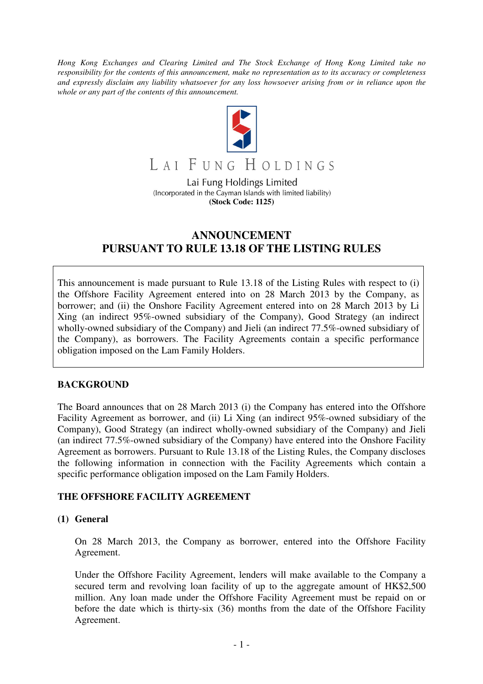*Hong Kong Exchanges and Clearing Limited and The Stock Exchange of Hong Kong Limited take no responsibility for the contents of this announcement, make no representation as to its accuracy or completeness and expressly disclaim any liability whatsoever for any loss howsoever arising from or in reliance upon the whole or any part of the contents of this announcement.* 



LAI FUNG HOLDINGS

Lai Fung Holdings Limited (Incorporated in the Cayman Islands with limited liability) **(Stock Code: 1125)** 

# **ANNOUNCEMENT PURSUANT TO RULE 13.18 OF THE LISTING RULES**

This announcement is made pursuant to Rule 13.18 of the Listing Rules with respect to (i) the Offshore Facility Agreement entered into on 28 March 2013 by the Company, as borrower; and (ii) the Onshore Facility Agreement entered into on 28 March 2013 by Li Xing (an indirect 95%-owned subsidiary of the Company), Good Strategy (an indirect wholly-owned subsidiary of the Company) and Jieli (an indirect 77.5%-owned subsidiary of the Company), as borrowers. The Facility Agreements contain a specific performance obligation imposed on the Lam Family Holders.

# **BACKGROUND**

The Board announces that on 28 March 2013 (i) the Company has entered into the Offshore Facility Agreement as borrower, and (ii) Li Xing (an indirect 95%-owned subsidiary of the Company), Good Strategy (an indirect wholly-owned subsidiary of the Company) and Jieli (an indirect 77.5%-owned subsidiary of the Company) have entered into the Onshore Facility Agreement as borrowers. Pursuant to Rule 13.18 of the Listing Rules, the Company discloses the following information in connection with the Facility Agreements which contain a specific performance obligation imposed on the Lam Family Holders.

# **THE OFFSHORE FACILITY AGREEMENT**

#### **(1) General**

 On 28 March 2013, the Company as borrower, entered into the Offshore Facility Agreement.

Under the Offshore Facility Agreement, lenders will make available to the Company a secured term and revolving loan facility of up to the aggregate amount of HK\$2,500 million. Any loan made under the Offshore Facility Agreement must be repaid on or before the date which is thirty-six (36) months from the date of the Offshore Facility Agreement.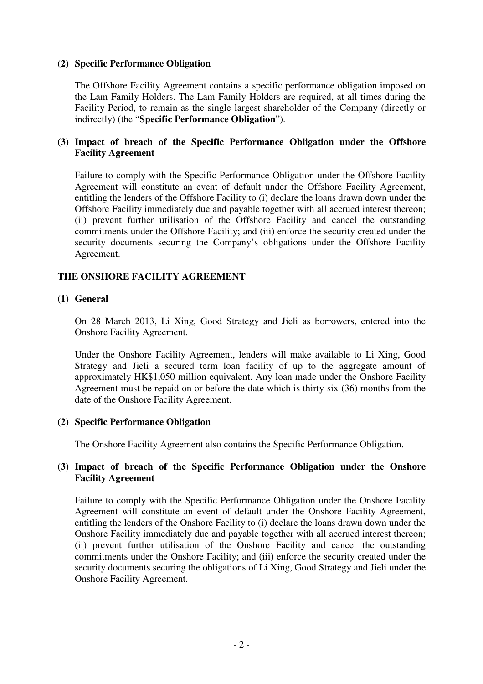## **(2) Specific Performance Obligation**

The Offshore Facility Agreement contains a specific performance obligation imposed on the Lam Family Holders. The Lam Family Holders are required, at all times during the Facility Period, to remain as the single largest shareholder of the Company (directly or indirectly) (the "**Specific Performance Obligation**").

# **(3) Impact of breach of the Specific Performance Obligation under the Offshore Facility Agreement**

Failure to comply with the Specific Performance Obligation under the Offshore Facility Agreement will constitute an event of default under the Offshore Facility Agreement, entitling the lenders of the Offshore Facility to (i) declare the loans drawn down under the Offshore Facility immediately due and payable together with all accrued interest thereon; (ii) prevent further utilisation of the Offshore Facility and cancel the outstanding commitments under the Offshore Facility; and (iii) enforce the security created under the security documents securing the Company's obligations under the Offshore Facility Agreement.

### **THE ONSHORE FACILITY AGREEMENT**

#### **(1) General**

On 28 March 2013, Li Xing, Good Strategy and Jieli as borrowers, entered into the Onshore Facility Agreement.

Under the Onshore Facility Agreement, lenders will make available to Li Xing, Good Strategy and Jieli a secured term loan facility of up to the aggregate amount of approximately HK\$1,050 million equivalent. Any loan made under the Onshore Facility Agreement must be repaid on or before the date which is thirty-six (36) months from the date of the Onshore Facility Agreement.

#### **(2) Specific Performance Obligation**

The Onshore Facility Agreement also contains the Specific Performance Obligation.

### **(3) Impact of breach of the Specific Performance Obligation under the Onshore Facility Agreement**

Failure to comply with the Specific Performance Obligation under the Onshore Facility Agreement will constitute an event of default under the Onshore Facility Agreement, entitling the lenders of the Onshore Facility to (i) declare the loans drawn down under the Onshore Facility immediately due and payable together with all accrued interest thereon; (ii) prevent further utilisation of the Onshore Facility and cancel the outstanding commitments under the Onshore Facility; and (iii) enforce the security created under the security documents securing the obligations of Li Xing, Good Strategy and Jieli under the Onshore Facility Agreement.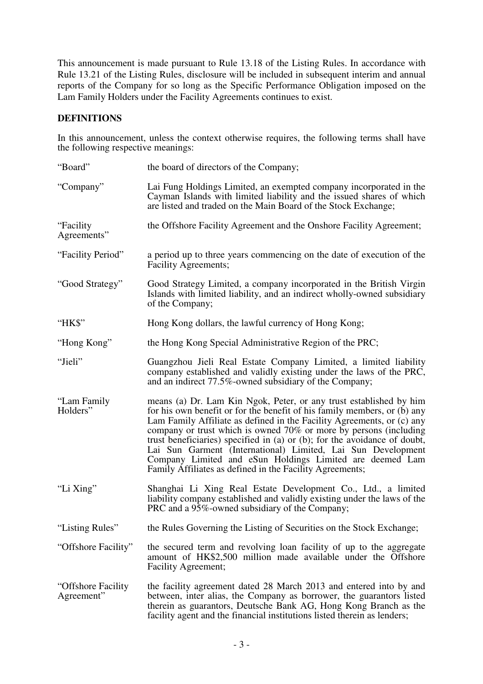This announcement is made pursuant to Rule 13.18 of the Listing Rules. In accordance with Rule 13.21 of the Listing Rules, disclosure will be included in subsequent interim and annual reports of the Company for so long as the Specific Performance Obligation imposed on the Lam Family Holders under the Facility Agreements continues to exist.

## **DEFINITIONS**

In this announcement, unless the context otherwise requires, the following terms shall have the following respective meanings:

| "Board"                           | the board of directors of the Company;                                                                                                                                                                                                                                                                                                                                                                                                                                                                                                                             |
|-----------------------------------|--------------------------------------------------------------------------------------------------------------------------------------------------------------------------------------------------------------------------------------------------------------------------------------------------------------------------------------------------------------------------------------------------------------------------------------------------------------------------------------------------------------------------------------------------------------------|
| "Company"                         | Lai Fung Holdings Limited, an exempted company incorporated in the<br>Cayman Islands with limited liability and the issued shares of which<br>are listed and traded on the Main Board of the Stock Exchange;                                                                                                                                                                                                                                                                                                                                                       |
| "Facility"<br>Agreements"         | the Offshore Facility Agreement and the Onshore Facility Agreement;                                                                                                                                                                                                                                                                                                                                                                                                                                                                                                |
| "Facility Period"                 | a period up to three years commencing on the date of execution of the<br><b>Facility Agreements;</b>                                                                                                                                                                                                                                                                                                                                                                                                                                                               |
| "Good Strategy"                   | Good Strategy Limited, a company incorporated in the British Virgin<br>Islands with limited liability, and an indirect wholly-owned subsidiary<br>of the Company;                                                                                                                                                                                                                                                                                                                                                                                                  |
| "HK\$"                            | Hong Kong dollars, the lawful currency of Hong Kong;                                                                                                                                                                                                                                                                                                                                                                                                                                                                                                               |
| "Hong Kong"                       | the Hong Kong Special Administrative Region of the PRC;                                                                                                                                                                                                                                                                                                                                                                                                                                                                                                            |
| "Jieli"                           | Guangzhou Jieli Real Estate Company Limited, a limited liability<br>company established and validly existing under the laws of the PRC,<br>and an indirect 77.5%-owned subsidiary of the Company;                                                                                                                                                                                                                                                                                                                                                                  |
| "Lam Family"<br>Holders"          | means (a) Dr. Lam Kin Ngok, Peter, or any trust established by him<br>for his own benefit or for the benefit of his family members, or (b) any<br>Lam Family Affiliate as defined in the Facility Agreements, or (c) any<br>company or trust which is owned 70% or more by persons (including<br>trust beneficiaries) specified in (a) or (b); for the avoidance of doubt,<br>Lai Sun Garment (International) Limited, Lai Sun Development<br>Company Limited and eSun Holdings Limited are deemed Lam<br>Family Affiliates as defined in the Facility Agreements; |
| "Li Xing"                         | Shanghai Li Xing Real Estate Development Co., Ltd., a limited<br>liability company established and validly existing under the laws of the<br>PRC and a 95%-owned subsidiary of the Company;                                                                                                                                                                                                                                                                                                                                                                        |
| 'Listing Rules''                  | the Rules Governing the Listing of Securities on the Stock Exchange;                                                                                                                                                                                                                                                                                                                                                                                                                                                                                               |
| "Offshore Facility"               | the secured term and revolving loan facility of up to the aggregate<br>amount of HK\$2,500 million made available under the Offshore<br><b>Facility Agreement;</b>                                                                                                                                                                                                                                                                                                                                                                                                 |
| "Offshore Facility"<br>Agreement" | the facility agreement dated 28 March 2013 and entered into by and<br>between, inter alias, the Company as borrower, the guarantors listed<br>therein as guarantors, Deutsche Bank AG, Hong Kong Branch as the<br>facility agent and the financial institutions listed therein as lenders;                                                                                                                                                                                                                                                                         |